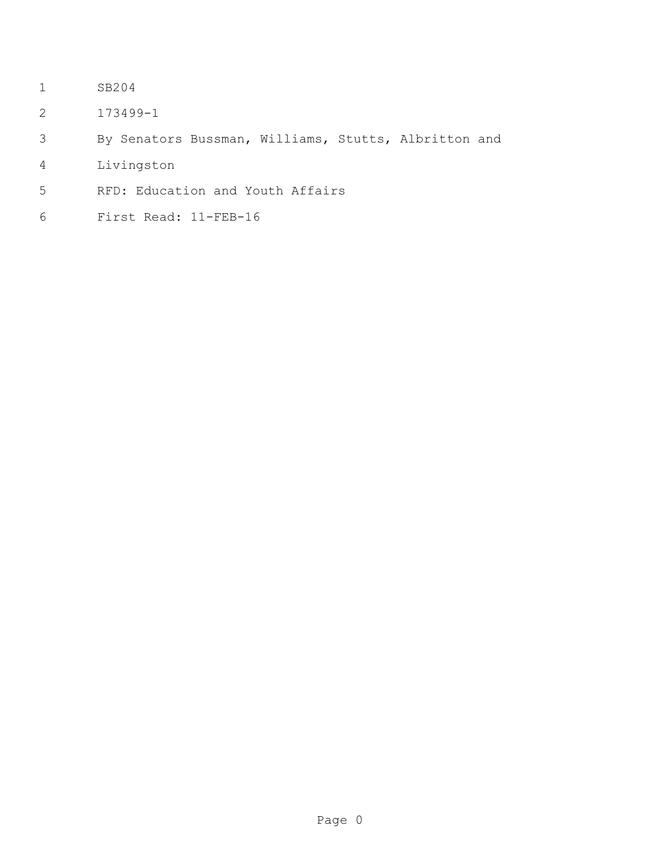- SB204
- 173499-1
- By Senators Bussman, Williams, Stutts, Albritton and
- Livingston
- RFD: Education and Youth Affairs
- First Read: 11-FEB-16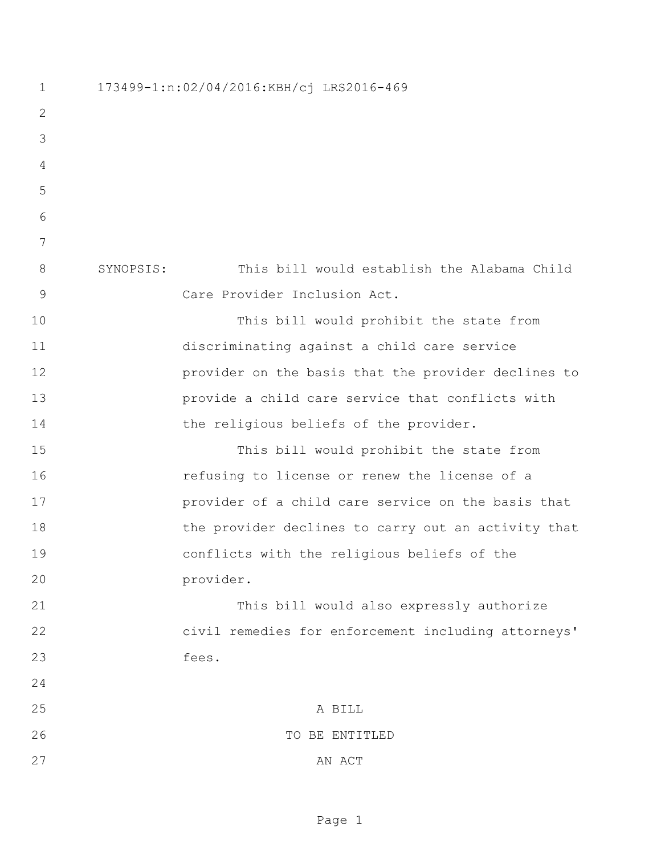173499-1:n:02/04/2016:KBH/cj LRS2016-469 SYNOPSIS: This bill would establish the Alabama Child Care Provider Inclusion Act. This bill would prohibit the state from discriminating against a child care service provider on the basis that the provider declines to provide a child care service that conflicts with 14 the religious beliefs of the provider. This bill would prohibit the state from refusing to license or renew the license of a **provider of a child care service on the basis that** 18 the provider declines to carry out an activity that conflicts with the religious beliefs of the provider. This bill would also expressly authorize civil remedies for enforcement including attorneys' fees. A BILL 26 TO BE ENTITLED 27 AN ACT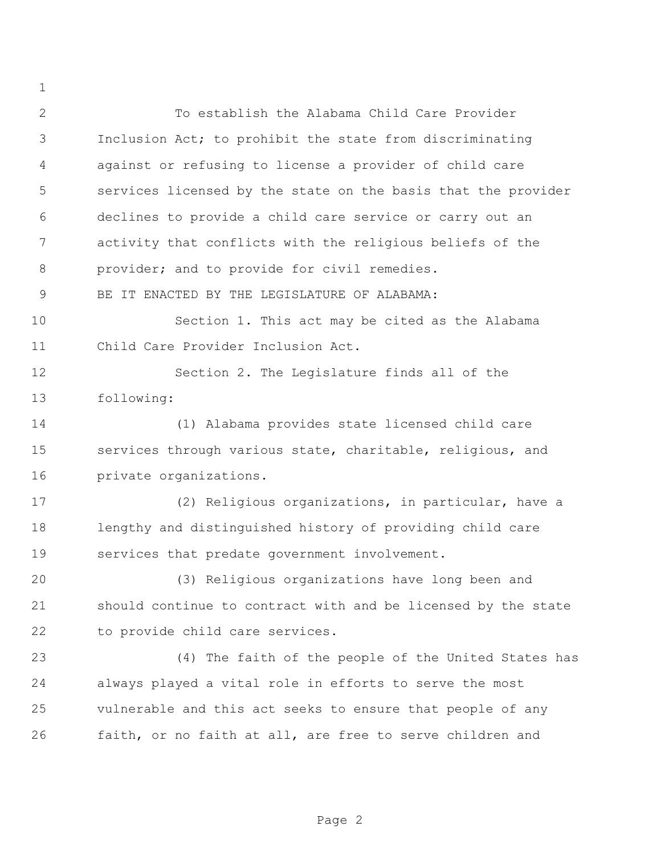To establish the Alabama Child Care Provider Inclusion Act; to prohibit the state from discriminating against or refusing to license a provider of child care services licensed by the state on the basis that the provider declines to provide a child care service or carry out an activity that conflicts with the religious beliefs of the provider; and to provide for civil remedies. BE IT ENACTED BY THE LEGISLATURE OF ALABAMA: Section 1. This act may be cited as the Alabama Child Care Provider Inclusion Act. Section 2. The Legislature finds all of the following: (1) Alabama provides state licensed child care services through various state, charitable, religious, and private organizations. (2) Religious organizations, in particular, have a lengthy and distinguished history of providing child care services that predate government involvement. (3) Religious organizations have long been and should continue to contract with and be licensed by the state to provide child care services. (4) The faith of the people of the United States has always played a vital role in efforts to serve the most vulnerable and this act seeks to ensure that people of any faith, or no faith at all, are free to serve children and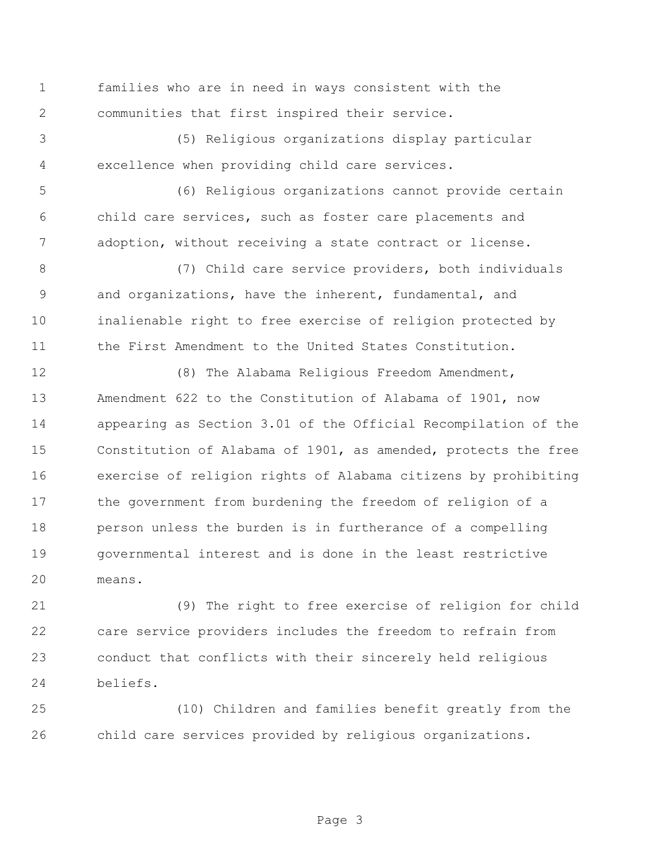families who are in need in ways consistent with the communities that first inspired their service.

 (5) Religious organizations display particular excellence when providing child care services.

 (6) Religious organizations cannot provide certain child care services, such as foster care placements and adoption, without receiving a state contract or license.

 (7) Child care service providers, both individuals and organizations, have the inherent, fundamental, and inalienable right to free exercise of religion protected by 11 the First Amendment to the United States Constitution.

 (8) The Alabama Religious Freedom Amendment, Amendment 622 to the Constitution of Alabama of 1901, now appearing as Section 3.01 of the Official Recompilation of the Constitution of Alabama of 1901, as amended, protects the free exercise of religion rights of Alabama citizens by prohibiting the government from burdening the freedom of religion of a person unless the burden is in furtherance of a compelling governmental interest and is done in the least restrictive means.

 (9) The right to free exercise of religion for child care service providers includes the freedom to refrain from conduct that conflicts with their sincerely held religious beliefs.

 (10) Children and families benefit greatly from the child care services provided by religious organizations.

Page 3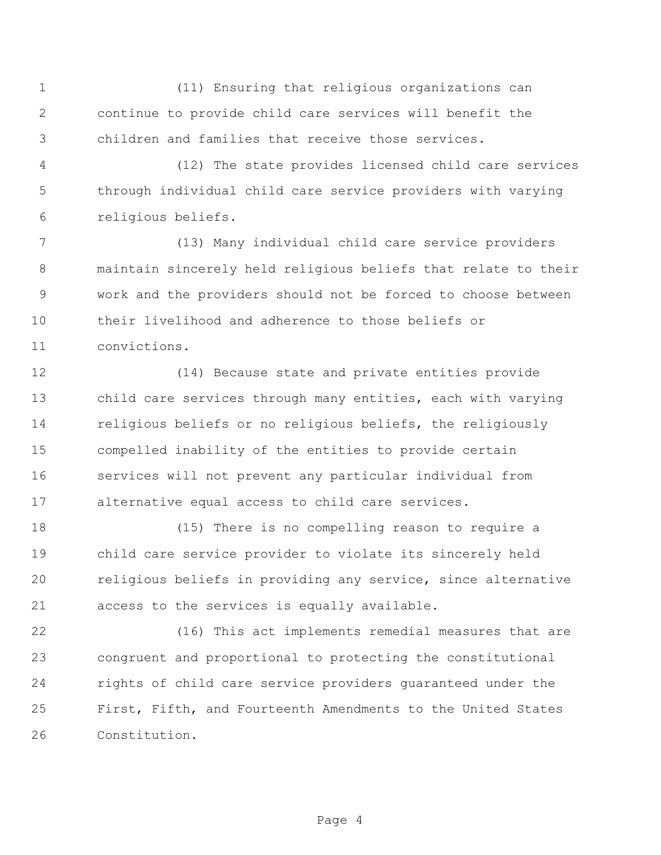(11) Ensuring that religious organizations can continue to provide child care services will benefit the children and families that receive those services.

 (12) The state provides licensed child care services through individual child care service providers with varying religious beliefs.

 (13) Many individual child care service providers maintain sincerely held religious beliefs that relate to their work and the providers should not be forced to choose between their livelihood and adherence to those beliefs or convictions.

 (14) Because state and private entities provide child care services through many entities, each with varying religious beliefs or no religious beliefs, the religiously compelled inability of the entities to provide certain services will not prevent any particular individual from alternative equal access to child care services.

 (15) There is no compelling reason to require a child care service provider to violate its sincerely held religious beliefs in providing any service, since alternative access to the services is equally available.

 (16) This act implements remedial measures that are congruent and proportional to protecting the constitutional rights of child care service providers guaranteed under the First, Fifth, and Fourteenth Amendments to the United States Constitution.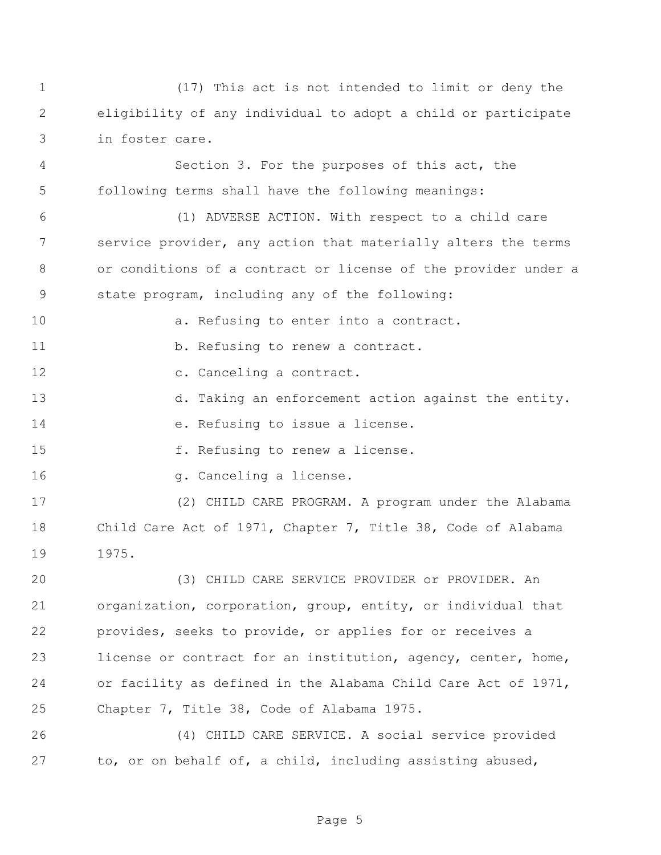(17) This act is not intended to limit or deny the eligibility of any individual to adopt a child or participate in foster care.

 Section 3. For the purposes of this act, the following terms shall have the following meanings:

 (1) ADVERSE ACTION. With respect to a child care service provider, any action that materially alters the terms or conditions of a contract or license of the provider under a state program, including any of the following:

- **a.** Refusing to enter into a contract.
- 11 b. Refusing to renew a contract.
- 12 c. Canceling a contract.
- d. Taking an enforcement action against the entity.
- e. Refusing to issue a license.
- **f.** Refusing to renew a license.
- **g.** Canceling a license.

 (2) CHILD CARE PROGRAM. A program under the Alabama Child Care Act of 1971, Chapter 7, Title 38, Code of Alabama 1975.

 (3) CHILD CARE SERVICE PROVIDER or PROVIDER. An organization, corporation, group, entity, or individual that provides, seeks to provide, or applies for or receives a license or contract for an institution, agency, center, home, or facility as defined in the Alabama Child Care Act of 1971, Chapter 7, Title 38, Code of Alabama 1975.

 (4) CHILD CARE SERVICE. A social service provided to, or on behalf of, a child, including assisting abused,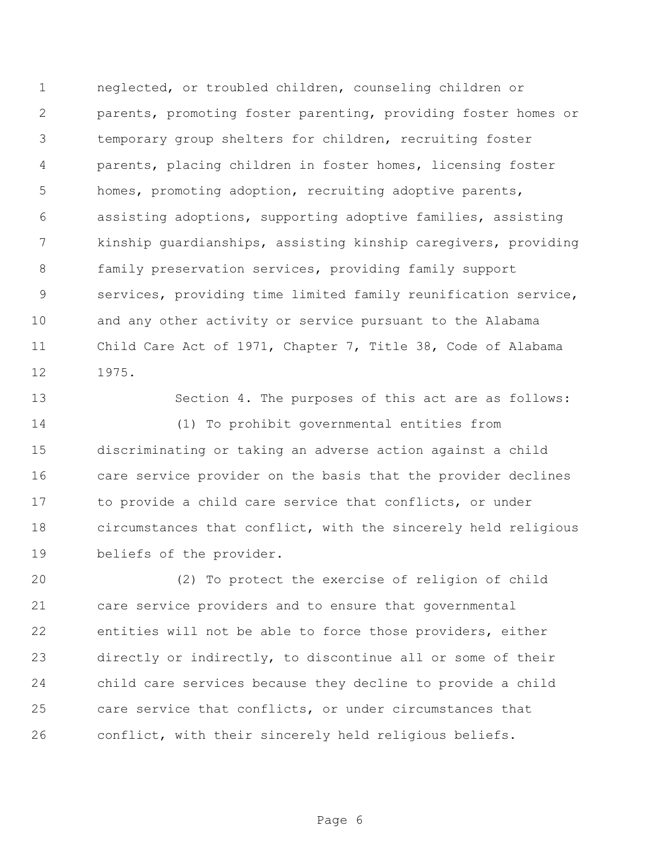neglected, or troubled children, counseling children or parents, promoting foster parenting, providing foster homes or temporary group shelters for children, recruiting foster parents, placing children in foster homes, licensing foster homes, promoting adoption, recruiting adoptive parents, assisting adoptions, supporting adoptive families, assisting kinship guardianships, assisting kinship caregivers, providing family preservation services, providing family support services, providing time limited family reunification service, and any other activity or service pursuant to the Alabama Child Care Act of 1971, Chapter 7, Title 38, Code of Alabama 1975.

 Section 4. The purposes of this act are as follows: (1) To prohibit governmental entities from

 discriminating or taking an adverse action against a child care service provider on the basis that the provider declines 17 to provide a child care service that conflicts, or under circumstances that conflict, with the sincerely held religious beliefs of the provider.

 (2) To protect the exercise of religion of child care service providers and to ensure that governmental entities will not be able to force those providers, either directly or indirectly, to discontinue all or some of their child care services because they decline to provide a child care service that conflicts, or under circumstances that conflict, with their sincerely held religious beliefs.